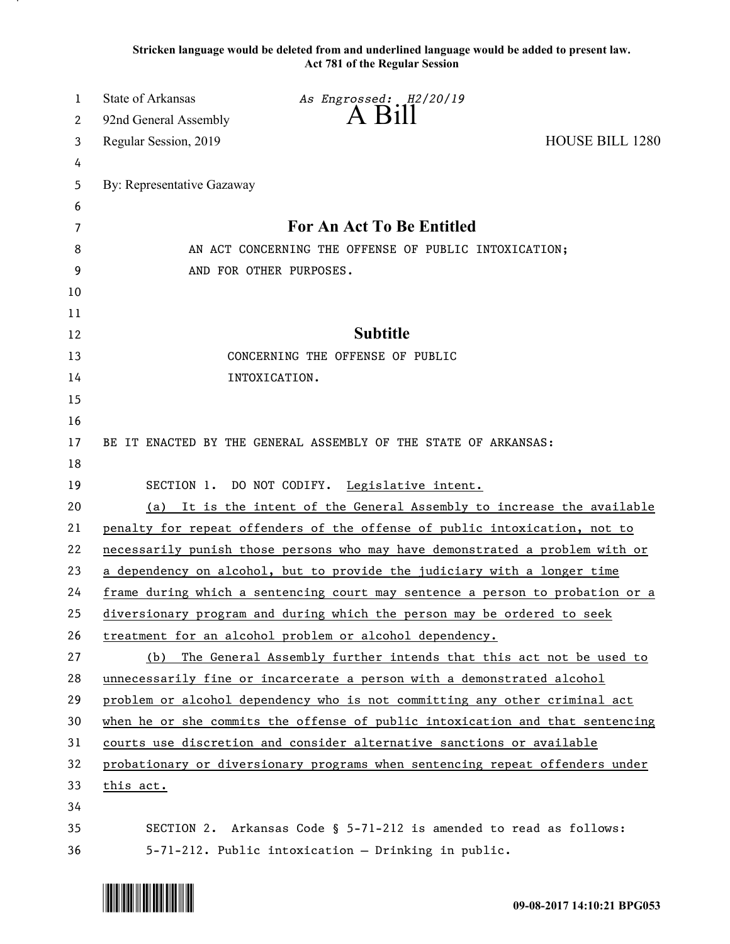**Stricken language would be deleted from and underlined language would be added to present law. Act 781 of the Regular Session**

| 1  | <b>State of Arkansas</b>   | As Engrossed: H2/20/19                                                        |                        |
|----|----------------------------|-------------------------------------------------------------------------------|------------------------|
| 2  | 92nd General Assembly      | A Bill                                                                        |                        |
| 3  | Regular Session, 2019      |                                                                               | <b>HOUSE BILL 1280</b> |
| 4  |                            |                                                                               |                        |
| 5  | By: Representative Gazaway |                                                                               |                        |
| 6  |                            |                                                                               |                        |
| 7  |                            | <b>For An Act To Be Entitled</b>                                              |                        |
| 8  |                            | AN ACT CONCERNING THE OFFENSE OF PUBLIC INTOXICATION;                         |                        |
| 9  |                            | AND FOR OTHER PURPOSES.                                                       |                        |
| 10 |                            |                                                                               |                        |
| 11 |                            |                                                                               |                        |
| 12 |                            | <b>Subtitle</b>                                                               |                        |
| 13 |                            | CONCERNING THE OFFENSE OF PUBLIC                                              |                        |
| 14 |                            | INTOXICATION.                                                                 |                        |
| 15 |                            |                                                                               |                        |
| 16 |                            |                                                                               |                        |
| 17 |                            | BE IT ENACTED BY THE GENERAL ASSEMBLY OF THE STATE OF ARKANSAS:               |                        |
| 18 |                            |                                                                               |                        |
| 19 |                            | SECTION 1. DO NOT CODIFY. Legislative intent.                                 |                        |
| 20 | (a)                        | It is the intent of the General Assembly to increase the available            |                        |
| 21 |                            | penalty for repeat offenders of the offense of public intoxication, not to    |                        |
| 22 |                            | necessarily punish those persons who may have demonstrated a problem with or  |                        |
| 23 |                            | a dependency on alcohol, but to provide the judiciary with a longer time      |                        |
| 24 |                            | frame during which a sentencing court may sentence a person to probation or a |                        |
| 25 |                            | diversionary program and during which the person may be ordered to seek       |                        |
| 26 |                            | treatment for an alcohol problem or alcohol dependency.                       |                        |
| 27 | (b)                        | The General Assembly further intends that this act not be used to             |                        |
| 28 |                            | unnecessarily fine or incarcerate a person with a demonstrated alcohol        |                        |
| 29 |                            | problem or alcohol dependency who is not committing any other criminal act    |                        |
| 30 |                            | when he or she commits the offense of public intoxication and that sentencing |                        |
| 31 |                            | courts use discretion and consider alternative sanctions or available         |                        |
| 32 |                            | probationary or diversionary programs when sentencing repeat offenders under  |                        |
| 33 | this act.                  |                                                                               |                        |
| 34 |                            |                                                                               |                        |
| 35 |                            | SECTION 2. Arkansas Code § 5-71-212 is amended to read as follows:            |                        |
| 36 |                            | 5-71-212. Public intoxication - Drinking in public.                           |                        |

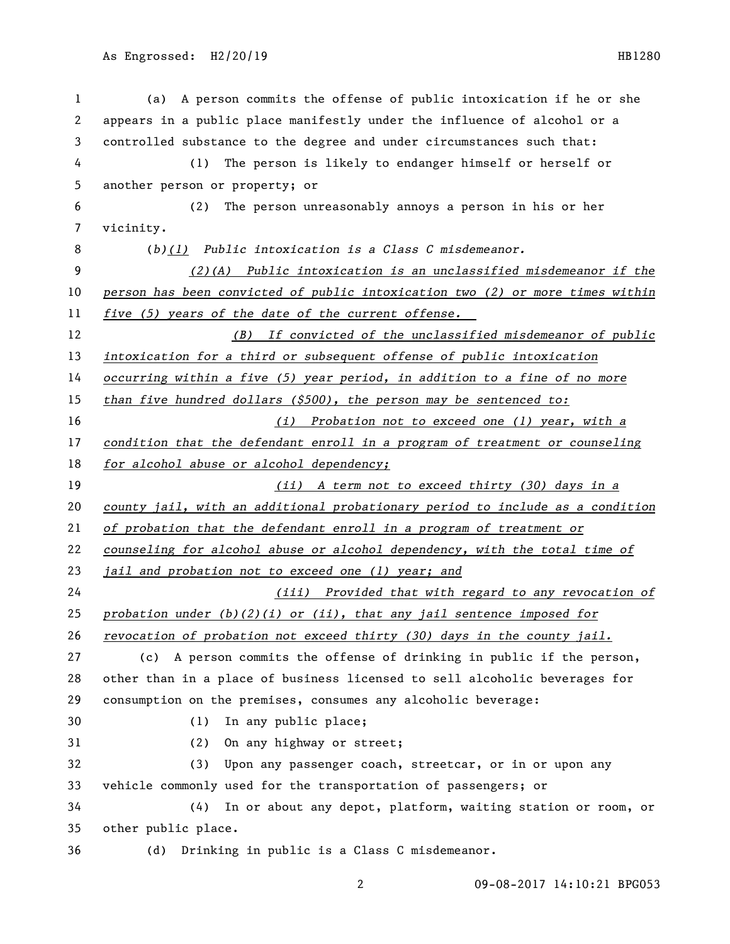| 1  | A person commits the offense of public intoxication if he or she<br>(a)       |  |  |
|----|-------------------------------------------------------------------------------|--|--|
| 2  | appears in a public place manifestly under the influence of alcohol or a      |  |  |
| 3  | controlled substance to the degree and under circumstances such that:         |  |  |
| 4  | The person is likely to endanger himself or herself or<br>(1)                 |  |  |
| 5  | another person or property; or                                                |  |  |
| 6  | The person unreasonably annoys a person in his or her<br>(2)                  |  |  |
| 7  | vicinity.                                                                     |  |  |
| 8  | $(b)(1)$ Public intoxication is a Class C misdemeanor.                        |  |  |
| 9  | $(2)$ (A) Public intoxication is an unclassified misdemeanor if the           |  |  |
| 10 | person has been convicted of public intoxication two (2) or more times within |  |  |
| 11 | five (5) years of the date of the current offense.                            |  |  |
| 12 | (B) If convicted of the unclassified misdemeanor of public                    |  |  |
| 13 | intoxication for a third or subsequent offense of public intoxication         |  |  |
| 14 | occurring within a five (5) year period, in addition to a fine of no more     |  |  |
| 15 | than five hundred dollars $($ \$500 $)$ , the person may be sentenced to:     |  |  |
| 16 | (i) Probation not to exceed one (1) year, with a                              |  |  |
| 17 | condition that the defendant enroll in a program of treatment or counseling   |  |  |
| 18 | for alcohol abuse or alcohol dependency;                                      |  |  |
| 19 | (ii) A term not to exceed thirty (30) days in a                               |  |  |
| 20 | county jail, with an additional probationary period to include as a condition |  |  |
| 21 | of probation that the defendant enroll in a program of treatment or           |  |  |
| 22 | counseling for alcohol abuse or alcohol dependency, with the total time of    |  |  |
| 23 | jail and probation not to exceed one (1) year; and                            |  |  |
| 24 | (iii) Provided that with regard to any revocation of                          |  |  |
| 25 | probation under $(b)(2)(i)$ or (ii), that any jail sentence imposed for       |  |  |
| 26 | revocation of probation not exceed thirty (30) days in the county jail.       |  |  |
| 27 | A person commits the offense of drinking in public if the person,<br>(c)      |  |  |
| 28 | other than in a place of business licensed to sell alcoholic beverages for    |  |  |
| 29 | consumption on the premises, consumes any alcoholic beverage:                 |  |  |
| 30 | (1)<br>In any public place;                                                   |  |  |
| 31 | (2)<br>On any highway or street;                                              |  |  |
| 32 | Upon any passenger coach, streetcar, or in or upon any<br>(3)                 |  |  |
| 33 | vehicle commonly used for the transportation of passengers; or                |  |  |
| 34 | In or about any depot, platform, waiting station or room, or<br>(4)           |  |  |
| 35 | other public place.                                                           |  |  |
| 36 | Drinking in public is a Class C misdemeanor.<br>(d)                           |  |  |